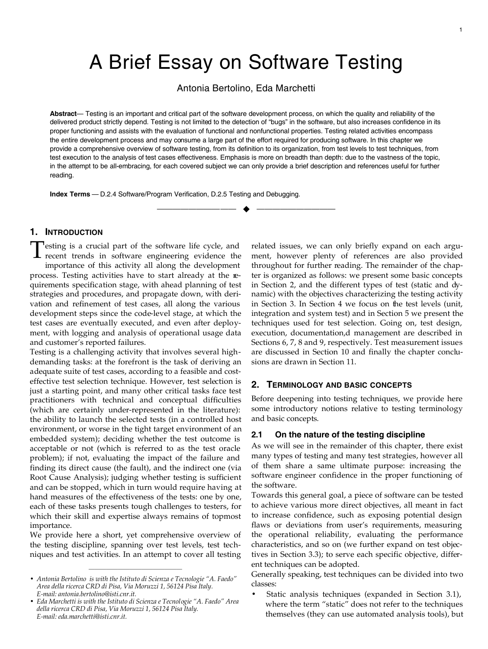# A Brief Essay on Software Testing

Antonia Bertolino, Eda Marchetti

**Abstract**— Testing is an important and critical part of the software development process, on which the quality and reliability of the delivered product strictly depend. Testing is not limited to the detection of "bugs" in the software, but also increases confidence in its proper functioning and assists with the evaluation of functional and nonfunctional properties. Testing related activities encompass the entire development process and may consume a large part of the effort required for producing software. In this chapter we provide a comprehensive overview of software testing, from its definition to its organization, from test levels to test techniques, from test execution to the analysis of test cases effectiveness. Emphasis is more on breadth than depth: due to the vastness of the topic, in the attempt to be all-embracing, for each covered subject we can only provide a brief description and references useful for further reading.

—————————— u ——————————

**Index Terms** — D.2.4 Software/Program Verification, D.2.5 Testing and Debugging.

# **1. INTRODUCTION**

esting is a crucial part of the software life cycle, and Testing is a crucial part of the software life cycle, and<br>recent trends in software engineering evidence the importance of this activity all along the development process. Testing activities have to start already at the requirements specification stage, with ahead planning of test strategies and procedures, and propagate down, with derivation and refinement of test cases, all along the various development steps since the code-level stage, at which the test cases are eventually executed, and even after deployment, with logging and analysis of operational usage data and customer's reported failures.

Testing is a challenging activity that involves several highdemanding tasks: at the forefront is the task of deriving an adequate suite of test cases, according to a feasible and costeffective test selection technique. However, test selection is just a starting point, and many other critical tasks face test practitioners with technical and conceptual difficulties (which are certainly under-represented in the literature): the ability to launch the selected tests (in a controlled host environment, or worse in the tight target environment of an embedded system); deciding whether the test outcome is acceptable or not (which is referred to as the test oracle problem); if not, evaluating the impact of the failure and finding its direct cause (the fault), and the indirect one (via Root Cause Analysis); judging whether testing is sufficient and can be stopped, which in turn would require having at hand measures of the effectiveness of the tests: one by one, each of these tasks presents tough challenges to testers, for which their skill and expertise always remains of topmost importance.

We provide here a short, yet comprehensive overview of the testing discipline, spanning over test levels, test techniques and test activities. In an attempt to cover all testing

————————————————

related issues, we can only briefly expand on each argument, however plenty of references are also provided throughout for further reading. The remainder of the chapter is organized as follows: we present some basic concepts in Section 2, and the different types of test (static and dynamic) with the objectives characterizing the testing activity in Section 3. In Section 4 we focus on the test levels (unit, integration and system test) and in Section 5 we present the techniques used for test selection. Going on, test design, execution, documentation,d management are described in Sections 6, 7, 8 and 9, respectively. Test measurement issues are discussed in Section 10 and finally the chapter conclusions are drawn in Section 11.

# **2. TERMINOLOGY AND BASIC CONCEPTS**

Before deepening into testing techniques, we provide here some introductory notions relative to testing terminology and basic concepts.

#### **2.1 On the nature of the testing discipline**

As we will see in the remainder of this chapter, there exist many types of testing and many test strategies, however all of them share a same ultimate purpose: increasing the software engineer confidence in the proper functioning of the software.

Towards this general goal, a piece of software can be tested to achieve various more direct objectives, all meant in fact to increase confidence, such as exposing potential design flaws or deviations from user's requirements, measuring the operational reliability, evaluating the performance characteristics, and so on (we further expand on test objectives in Section 3.3); to serve each specific objective, different techniques can be adopted.

Generally speaking, test techniques can be divided into two classes:

Static analysis techniques (expanded in Section 3.1), where the term "static" does not refer to the techniques themselves (they can use automated analysis tools), but

<sup>•</sup> *Antonia Bertolino is with the Istituto di Scienza e Tecnologie "A. Faedo" Area della ricerca CRD di Pisa, Via Moruzzi 1, 56124 Pisa Italy. E-mail: antonia.bertolino@isti.cnr.it.*

<sup>•</sup> *Eda Marchetti is with the Istituto di Scienza e Tecnologie "A. Faedo" Area della ricerca CRD di Pisa, Via Moruzzi 1, 56124 Pisa Italy. E-mail: eda.marchetti@isti.cnr.it.*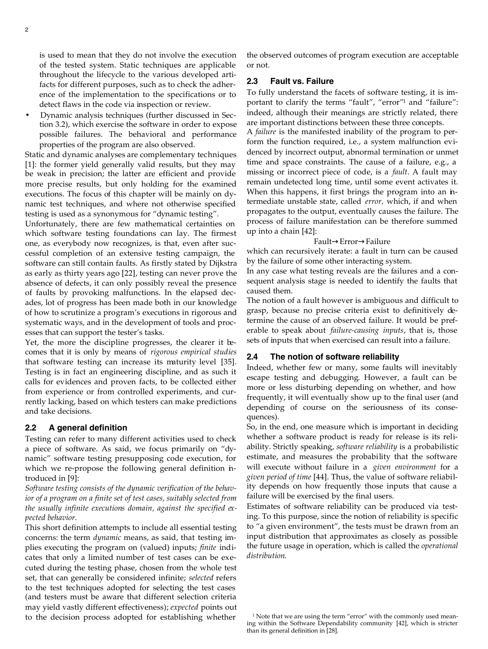is used to mean that they do not involve the execution of the tested system. Static techniques are applicable throughout the lifecycle to the various developed artifacts for different purposes, such as to check the adherence of the implementation to the specifications or to detect flaws in the code via inspection or review.

• Dynamic analysis techniques (further discussed in Section 3.2), which exercise the software in order to expose possible failures. The behavioral and performance properties of the program are also observed.

Static and dynamic analyses are complementary techniques [1]: the former yield generally valid results, but they may be weak in precision; the latter are efficient and provide more precise results, but only holding for the examined executions. The focus of this chapter will be mainly on dynamic test techniques, and where not otherwise specified testing is used as a synonymous for "dynamic testing".

Unfortunately, there are few mathematical certainties on which software testing foundations can lay. The firmest one, as everybody now recognizes, is that, even after successful completion of an extensive testing campaign, the software can still contain faults. As firstly stated by Dijkstra as early as thirty years ago [22], testing can never prove the absence of defects, it can only possibly reveal the presence of faults by provoking malfunctions. In the elapsed decades, lot of progress has been made both in our knowledge of how to scrutinize a program's executions in rigorous and systematic ways, and in the development of tools and processes that can support the tester's tasks.

Yet, the more the discipline progresses, the clearer it becomes that it is only by means of *rigorous empirical studies* that software testing can increase its maturity level [35]. Testing is in fact an engineering discipline, and as such it calls for evidences and proven facts, to be collected either from experience or from controlled experiments, and currently lacking, based on which testers can make predictions and take decisions.

#### **2.2 A general definition**

Testing can refer to many different activities used to check a piece of software. As said, we focus primarily on "dynamic" software testing presupposing code execution, for which we re-propose the following general definition introduced in [9]:

*Software testing consists of the dynamic verification of the behavior of a program on a finite set of test cases, suitably selected from the usually infinite executions domain, against the specified expected behavior.*

This short definition attempts to include all essential testing concerns: the term *dynamic* means, as said, that testing implies executing the program on (valued) inputs; *finite* indicates that only a limited number of test cases can be executed during the testing phase, chosen from the whole test set, that can generally be considered infinite; *selected* refers to the test techniques adopted for selecting the test cases (and testers must be aware that different selection criteria may yield vastly different effectiveness); *expected* points out to the decision process adopted for establishing whether

the observed outcomes of program execution are acceptable or not.

# **2.3 Fault vs. Failure**

To fully understand the facets of software testing, it is important to clarify the terms "fault", "error"<sup>1</sup> and "failure": indeed, although their meanings are strictly related, there are important distinctions between these three concepts.

A *failure* is the manifested inability of the program to perform the function required, i.e., a system malfunction evidenced by incorrect output, abnormal termination or unmet time and space constraints. The cause of a failure, e.g., a missing or incorrect piece of code, is a *fault*. A fault may remain undetected long time, until some event activates it. When this happens, it first brings the program into an intermediate unstable state, called *error,* which, if and when propagates to the output, eventually causes the failure. The process of failure manifestation can be therefore summed up into a chain [42]:

#### Fault→Error→Failure

which can recursively iterate: a fault in turn can be caused by the failure of some other interacting system.

In any case what testing reveals are the failures and a consequent analysis stage is needed to identify the faults that caused them.

The notion of a fault however is ambiguous and difficult to grasp, because no precise criteria exist to definitively determine the cause of an observed failure. It would be preferable to speak about *failure-causing inputs*, that is, those sets of inputs that when exercised can result into a failure.

#### **2.4 The notion of software reliability**

Indeed, whether few or many, some faults will inevitably escape testing and debugging. However, a fault can be more or less disturbing depending on whether, and how frequently, it will eventually show up to the final user (and depending of course on the seriousness of its consequences).

So, in the end, one measure which is important in deciding whether a software product is ready for release is its reliability. Strictly speaking, *software reliability* is a probabilistic estimate, and measures the probability that the software will execute without failure in a *given environment* for a *given period of time* [44]. Thus, the value of software reliability depends on how frequently those inputs that cause a failure will be exercised by the final users.

Estimates of software reliability can be produced via testing. To this purpose, since the notion of reliability is specific to "a given environment", the tests must be drawn from an input distribution that approximates as closely as possible the future usage in operation, which is called the *operational distribution*.

<sup>&</sup>lt;sup>1</sup> Note that we are using the term "error" with the commonly used meaning within the Software Dependability community [42], which is stricter than its general definition in [28].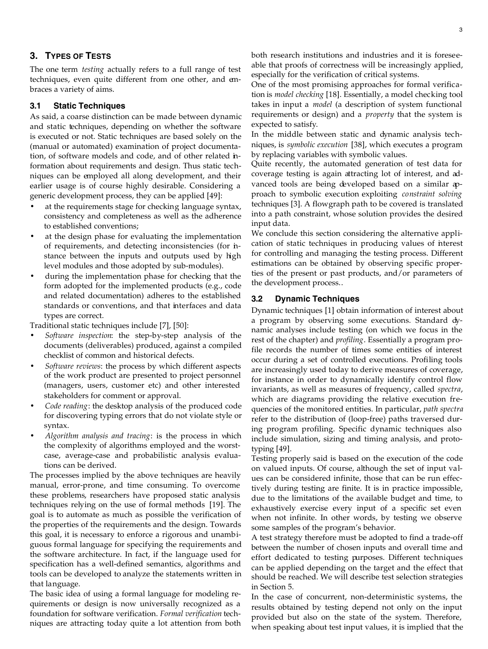# **3. TYPES OF TESTS**

The one term *testing* actually refers to a full range of test techniques, even quite different from one other, and embraces a variety of aims.

## **3.1 Static Techniques**

As said, a coarse distinction can be made between dynamic and static techniques, depending on whether the software is executed or not. Static techniques are based solely on the (manual or automated) examination of project documentation, of software models and code, and of other related information about requirements and design. Thus static techniques can be employed all along development, and their earlier usage is of course highly desirable. Considering a generic development process, they can be applied [49]:

- at the requirements stage for checking language syntax, consistency and completeness as well as the adherence to established conventions;
- at the design phase for evaluating the implementation of requirements, and detecting inconsistencies (for instance between the inputs and outputs used by high level modules and those adopted by sub-modules).
- during the implementation phase for checking that the form adopted for the implemented products (e.g., code and related documentation) adheres to the established standards or conventions, and that interfaces and data types are correct.

Traditional static techniques include [7], [50]:

- *Software inspection*: the step-by-step analysis of the documents (deliverables) produced, against a compiled checklist of common and historical defects.
- *Software reviews*: the process by which different aspects of the work product are presented to project personnel (managers, users, customer etc) and other interested stakeholders for comment or approval.
- *Code reading*: the desktop analysis of the produced code for discovering typing errors that do not violate style or syntax.
- *Algorithm analysis and tracing*: is the process in which the complexity of algorithms employed and the worstcase, average-case and probabilistic analysis evaluations can be derived.

The processes implied by the above techniques are heavily manual, error-prone, and time consuming. To overcome these problems, researchers have proposed static analysis techniques relying on the use of formal methods [19]. The goal is to automate as much as possible the verification of the properties of the requirements and the design. Towards this goal, it is necessary to enforce a rigorous and unambiguous formal language for specifying the requirements and the software architecture. In fact, if the language used for specification has a well-defined semantics, algorithms and tools can be developed to analyze the statements written in that language.

The basic idea of using a formal language for modeling requirements or design is now universally recognized as a foundation for software verification. *Formal verification* techniques are attracting today quite a lot attention from both both research institutions and industries and it is foreseeable that proofs of correctness will be increasingly applied, especially for the verification of critical systems.

One of the most promising approaches for formal verification is *model checking* [18]. Essentially, a model checking tool takes in input a *model* (a description of system functional requirements or design) and a *property* that the system is expected to satisfy.

In the middle between static and dynamic analysis techniques, is *symbolic execution* [38], which executes a program by replacing variables with symbolic values.

Quite recently, the automated generation of test data for coverage testing is again attracting lot of interest, and advanced tools are being developed based on a similar approach to symbolic execution exploiting *constraint solving* techniques [3]. A flowgraph path to be covered is translated into a path constraint, whose solution provides the desired input data.

We conclude this section considering the alternative application of static techniques in producing values of interest for controlling and managing the testing process. Different estimations can be obtained by observing specific properties of the present or past products, and/or parameters of the development process..

# **3.2 Dynamic Techniques**

Dynamic techniques [1] obtain information of interest about a program by observing some executions. Standard dynamic analyses include testing (on which we focus in the rest of the chapter) and *profiling*. Essentially a program profile records the number of times some entities of interest occur during a set of controlled executions. Profiling tools are increasingly used today to derive measures of coverage, for instance in order to dynamically identify control flow invariants, as well as measures of frequency, called *spectra*, which are diagrams providing the relative execution frequencies of the monitored entities. In particular, *path spectra* refer to the distribution of (loop-free) paths traversed during program profiling. Specific dynamic techniques also include simulation, sizing and timing analysis, and prototyping [49].

Testing properly said is based on the execution of the code on valued inputs. Of course, although the set of input values can be considered infinite, those that can be run effectively during testing are finite. It is in practice impossible, due to the limitations of the available budget and time, to exhaustively exercise every input of a specific set even when not infinite. In other words, by testing we observe some samples of the program's behavior.

A test strategy therefore must be adopted to find a trade-off between the number of chosen inputs and overall time and effort dedicated to testing purposes. Different techniques can be applied depending on the target and the effect that should be reached. We will describe test selection strategies in Section 5.

In the case of concurrent, non-deterministic systems, the results obtained by testing depend not only on the input provided but also on the state of the system. Therefore, when speaking about test input values, it is implied that the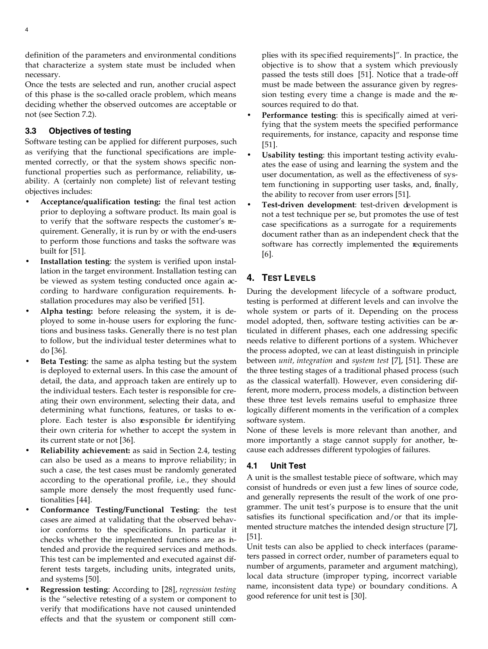definition of the parameters and environmental conditions that characterize a system state must be included when necessary.

Once the tests are selected and run, another crucial aspect of this phase is the so-called oracle problem, which means deciding whether the observed outcomes are acceptable or not (see Section 7.2).

# **3.3 Objectives of testing**

Software testing can be applied for different purposes, such as verifying that the functional specifications are implemented correctly, or that the system shows specific nonfunctional properties such as performance, reliability, usability. A (certainly non complete) list of relevant testing objectives includes:

- **Acceptance/qualification testing:** the final test action prior to deploying a software product. Its main goal is to verify that the software respects the customer's requirement. Generally, it is run by or with the end-users to perform those functions and tasks the software was built for [51].
- **Installation testing**: the system is verified upon installation in the target environment. Installation testing can be viewed as system testing conducted once again according to hardware configuration requirements. Installation procedures may also be verified [51].
- **Alpha testing:** before releasing the system, it is deployed to some in-house users for exploring the functions and business tasks. Generally there is no test plan to follow, but the individual tester determines what to do [36].
- **Beta Testing:** the same as alpha testing but the system is deployed to external users. In this case the amount of detail, the data, and approach taken are entirely up to the individual testers. Each tester is responsible for creating their own environment, selecting their data, and determining what functions, features, or tasks to explore. Each tester is also responsible for identifying their own criteria for whether to accept the system in its current state or not [36].
- **Reliability achievement:** as said in Section 2.4, testing can also be used as a means to improve reliability; in such a case, the test cases must be randomly generated according to the operational profile, i.e., they should sample more densely the most frequently used functionalities [44].
- **Conformance Testing/Functional Testing**: the test cases are aimed at validating that the observed behavior conforms to the specifications. In particular it checks whether the implemented functions are as intended and provide the required services and methods. This test can be implemented and executed against different tests targets, including units, integrated units, and systems [50].
- **Regression testing**: According to [28], *regression testing* is the "selective retesting of a system or component to verify that modifications have not caused unintended effects and that the syustem or component still com-

plies with its spec ified requirements]". In practice, the objective is to show that a system which previously passed the tests still does [51]. Notice that a trade-off must be made between the assurance given by regression testing every time a change is made and the resources required to do that.

- **Performance testing**: this is specifically aimed at verifying that the system meets the specified performance requirements, for instance, capacity and response time [51].
- **Usability testing:** this important testing activity evaluates the ease of using and learning the system and the user documentation, as well as the effectiveness of system functioning in supporting user tasks, and, finally, the ability to recover from user errors [51].
- **Test-driven development**: test-driven development is not a test technique per se, but promotes the use of test case specifications as a surrogate for a requirements document rather than as an independent check that the software has correctly implemented the requirements [6].

# **4. TEST LEVELS**

During the development lifecycle of a software product, testing is performed at different levels and can involve the whole system or parts of it. Depending on the process model adopted, then, software testing activities can be articulated in different phases, each one addressing specific needs relative to different portions of a system. Whichever the process adopted, we can at least distinguish in principle between *unit, integration* and *system test* [7], [51]. These are the three testing stages of a traditional phased process (such as the classical waterfall). However, even considering different, more modern, process models, a distinction between these three test levels remains useful to emphasize three logically different moments in the verification of a complex software system.

None of these levels is more relevant than another, and more importantly a stage cannot supply for another, because each addresses different typologies of failures.

# **4.1 Unit Test**

A unit is the smallest testable piece of software, which may consist of hundreds or even just a few lines of source code, and generally represents the result of the work of one programmer. The unit test's purpose is to ensure that the unit satisfies its functional specification and/or that its implemented structure matches the intended design structure [7], [51].

Unit tests can also be applied to check interfaces (parameters passed in correct order, number of parameters equal to number of arguments, parameter and argument matching), local data structure (improper typing, incorrect variable name, inconsistent data type) or boundary conditions. A good reference for unit test is [30].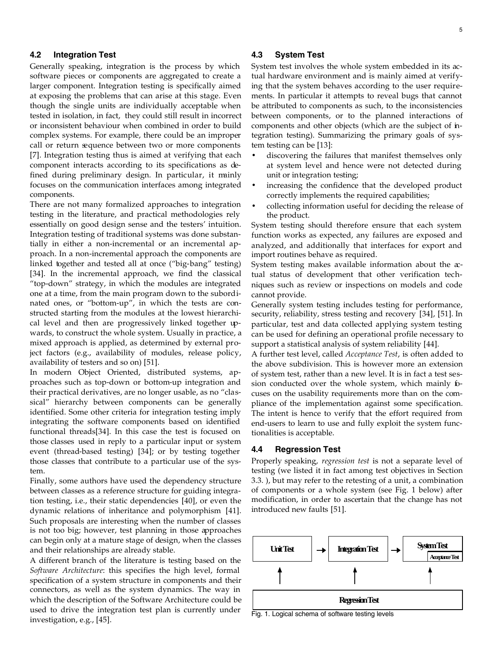#### **4.2 Integration Test**

Generally speaking, integration is the process by which software pieces or components are aggregated to create a larger component. Integration testing is specifically aimed at exposing the problems that can arise at this stage. Even though the single units are individually acceptable when tested in isolation, in fact, they could still result in incorrect or inconsistent behaviour when combined in order to build complex systems. For example, there could be an improper call or return sequence between two or more components [7]. Integration testing thus is aimed at verifying that each component interacts according to its specifications as defined during preliminary design. In particular, it mainly focuses on the communication interfaces among integrated components.

There are not many formalized approaches to integration testing in the literature, and practical methodologies rely essentially on good design sense and the testers' intuition. Integration testing of traditional systems was done substantially in either a non-incremental or an incremental approach. In a non-incremental approach the components are linked together and tested all at once ("big-bang" testing) [34]. In the incremental approach, we find the classical "top-down" strategy, in which the modules are integrated one at a time, from the main program down to the subordinated ones, or "bottom-up", in which the tests are constructed starting from the modules at the lowest hierarchical level and then are progressively linked together upwards, to construct the whole system. Usually in practice, a mixed approach is applied, as determined by external project factors (e.g., availability of modules, release policy, availability of testers and so on) [51].

In modern Object Oriented, distributed systems, approaches such as top-down or bottom-up integration and their practical derivatives, are no longer usable, as no "classical" hierarchy between components can be generally identified. Some other criteria for integration testing imply integrating the software components based on identified functional threads[34]. In this case the test is focused on those classes used in reply to a particular input or system event (thread-based testing) [34]; or by testing together those classes that contribute to a particular use of the system.

Finally, some authors have used the dependency structure between classes as a reference structure for guiding integration testing, i.e., their static dependencies [40], or even the dynamic relations of inheritance and polymorphism [41]. Such proposals are interesting when the number of classes is not too big; however, test planning in those approaches can begin only at a mature stage of design, when the classes and their relationships are already stable.

A different branch of the literature is testing based on the *Software Architecture*: this specifies the high level, formal specification of a system structure in components and their connectors, as well as the system dynamics. The way in which the description of the Software Architecture could be used to drive the integration test plan is currently under investigation, e.g., [45].

## **4.3 System Test**

System test involves the whole system embedded in its actual hardware environment and is mainly aimed at verifying that the system behaves according to the user requirements. In particular it attempts to reveal bugs that cannot be attributed to components as such, to the inconsistencies between components, or to the planned interactions of components and other objects (which are the subject of integration testing). Summarizing the primary goals of system testing can be [13]:

- discovering the failures that manifest themselves only at system level and hence were not detected during unit or integration testing;
- increasing the confidence that the developed product correctly implements the required capabilities;
- collecting information useful for deciding the release of the product.

System testing should therefore ensure that each system function works as expected, any failures are exposed and analyzed, and additionally that interfaces for export and import routines behave as required.

System testing makes available information about the  $x$ tual status of development that other verification techniques such as review or inspections on models and code cannot provide.

Generally system testing includes testing for performance, security, reliability, stress testing and recovery [34], [51]. In particular, test and data collected applying system testing can be used for defining an operational profile necessary to support a statistical analysis of system reliability [44].

A further test level, called *Acceptance Test*, is often added to the above subdivision. This is however more an extension of system test, rather than a new level. It is in fact a test session conducted over the whole system, which mainly focuses on the usability requirements more than on the compliance of the implementation against some specification. The intent is hence to verify that the effort required from end-users to learn to use and fully exploit the system functionalities is acceptable.

#### **4.4 Regression Test**

Properly speaking, *regression test* is not a separate level of testing (we listed it in fact among test objectives in Section 3.3. ), but may refer to the retesting of a unit, a combination of components or a whole system (see Fig. 1 below) after modification, in order to ascertain that the change has not introduced new faults [51].



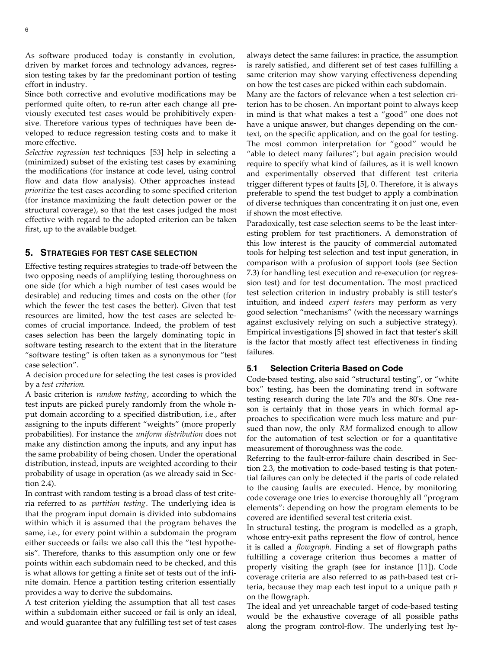As software produced today is constantly in evolution, driven by market forces and technology advances, regression testing takes by far the predominant portion of testing effort in industry.

Since both corrective and evolutive modifications may be performed quite often, to re-run after each change all previously executed test cases would be prohibitively expensive. Therefore various types of techniques have been developed to reduce regression testing costs and to make it more effective.

*Selective regression test* techniques [53] help in selecting a (minimized) subset of the existing test cases by examining the modifications (for instance at code level, using control flow and data flow analysis). Other approaches instead *prioritize* the test cases according to some specified criterion (for instance maximizing the fault detection power or the structural coverage), so that the test cases judged the most effective with regard to the adopted criterion can be taken first, up to the available budget.

## **5. STRATEGIES FOR TEST CASE SELECTION**

Effective testing requires strategies to trade-off between the two opposing needs of amplifying testing thoroughness on one side (for which a high number of test cases would be desirable) and reducing times and costs on the other (for which the fewer the test cases the better). Given that test resources are limited, how the test cases are selected becomes of crucial importance. Indeed, the problem of test cases selection has been the largely dominating topic in software testing research to the extent that in the literature "software testing" is often taken as a synonymous for "test case selection".

A decision procedure for selecting the test cases is provided by a *test criterion*.

A basic criterion is *random testing*, according to which the test inputs are picked purely randomly from the whole input domain according to a specified distribution, i.e., after assigning to the inputs different "weights" (more properly probabilities). For instance the *uniform distribution* does not make any distinction among the inputs, and any input has the same probability of being chosen. Under the operational distribution, instead, inputs are weighted according to their probability of usage in operation (as we already said in Section 2.4).

In contrast with random testing is a broad class of test criteria referred to as *partition testing*. The underlying idea is that the program input domain is divided into subdomains within which it is assumed that the program behaves the same, i.e., for every point within a subdomain the program either succeeds or fails: we also call this the "test hypothesis". Therefore, thanks to this assumption only one or few points within each subdomain need to be checked, and this is what allows for getting a finite set of tests out of the infinite domain. Hence a partition testing criterion essentially provides a way to derive the subdomains.

A test criterion yielding the assumption that all test cases within a subdomain either succeed or fail is only an ideal, and would guarantee that any fulfilling test set of test cases always detect the same failures: in practice, the assumption is rarely satisfied, and different set of test cases fulfilling a same criterion may show varying effectiveness depending on how the test cases are picked within each subdomain.

Many are the factors of relevance when a test selection criterion has to be chosen. An important point to always keep in mind is that what makes a test a "good" one does not have a unique answer, but changes depending on the context, on the specific application, and on the goal for testing. The most common interpretation for "good" would be "able to detect many failures"; but again precision would require to specify what kind of failures, as it is well known and experimentally observed that different test criteria trigger different types of faults [5], 0. Therefore, it is always preferable to spend the test budget to apply a combination of diverse techniques than concentrating it on just one, even if shown the most effective.

Paradoxically, test case selection seems to be the least interesting problem for test practitioners. A demonstration of this low interest is the paucity of commercial automated tools for helping test selection and test input generation, in comparison with a profusion of support tools (see Section 7.3) for handling test execution and re-execution (or regression test) and for test documentation. The most practiced test selection criterion in industry probably is still tester's intuition, and indeed *expert testers* may perform as very good selection "mechanisms" (with the necessary warnings against exclusively relying on such a subjective strategy). Empirical investigations [5] showed in fact that tester's skill is the factor that mostly affect test effectiveness in finding failures.

#### **5.1 Selection Criteria Based on Code**

Code-based testing, also said "structural testing", or "white box" testing, has been the dominating trend in software testing research during the late 70's and the 80's. One reason is certainly that in those years in which formal approaches to specification were much less mature and pursued than now, the only *RM* formalized enough to allow for the automation of test selection or for a quantitative measurement of thoroughness was the code.

Referring to the fault-error-failure chain described in Section 2.3, the motivation to code-based testing is that potential failures can only be detected if the parts of code related to the causing faults are executed. Hence, by monitoring code coverage one tries to exercise thoroughly all "program elements": depending on how the program elements to be covered are identified several test criteria exist.

In structural testing, the program is modelled as a graph, whose entry-exit paths represent the flow of control, hence it is called a *flowgraph*. Finding a set of flowgraph paths fulfilling a coverage criterion thus becomes a matter of properly visiting the graph (see for instance [11]). Code coverage criteria are also referred to as path-based test criteria, because they map each test input to a unique path *p* on the flowgraph.

The ideal and yet unreachable target of code-based testing would be the exhaustive coverage of all possible paths along the program control-flow. The underlying test hy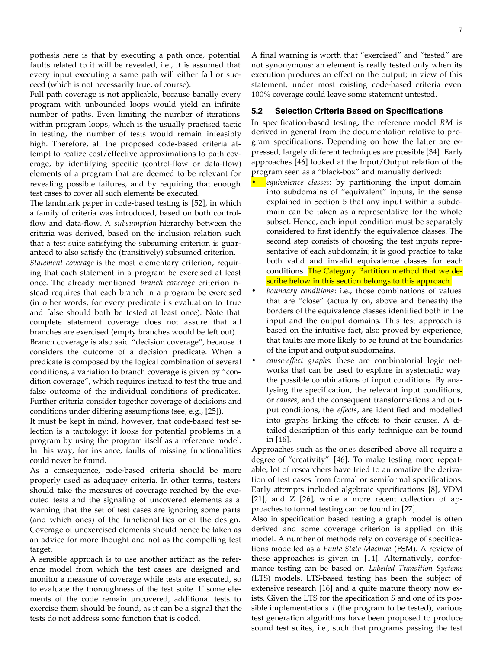pothesis here is that by executing a path once, potential faults related to it will be revealed, i.e., it is assumed that every input executing a same path will either fail or succeed (which is not necessarily true, of course).

Full path coverage is not applicable, because banally every program with unbounded loops would yield an infinite number of paths. Even limiting the number of iterations within program loops, which is the usually practised tactic in testing, the number of tests would remain infeasibly high. Therefore, all the proposed code-based criteria attempt to realize cost/effective approximations to path coverage, by identifying specific (control-flow or data-flow) elements of a program that are deemed to be relevant for revealing possible failures, and by requiring that enough test cases to cover all such elements be executed.

The landmark paper in code-based testing is [52], in which a family of criteria was introduced, based on both controlflow and data-flow. A *subsumption* hierarchy between the criteria was derived, based on the inclusion relation such that a test suite satisfying the subsuming criterion is guaranteed to also satisfy the (transitively) subsumed criterion.

*Statement coverage* is the most elementary criterion, requiring that each statement in a program be exercised at least once. The already mentioned *branch coverage* criterion instead requires that each branch in a program be exercised (in other words, for every predicate its evaluation to true and false should both be tested at least once). Note that complete statement coverage does not assure that all branches are exercised (empty branches would be left out).

Branch coverage is also said "decision coverage", because it considers the outcome of a decision predicate. When a predicate is composed by the logical combination of several conditions, a variation to branch coverage is given by "condition coverage", which requires instead to test the true and false outcome of the individual conditions of predicates. Further criteria consider together coverage of decisions and conditions under differing assumptions (see, e.g., [25]).

It must be kept in mind, however, that code-based test selection is a tautology: it looks for potential problems in a program by using the program itself as a reference model. In this way, for instance, faults of missing functionalities could never be found.

As a consequence, code-based criteria should be more properly used as adequacy criteria. In other terms, testers should take the measures of coverage reached by the executed tests and the signaling of uncovered elements as a warning that the set of test cases are ignoring some parts (and which ones) of the functionalities or of the design. Coverage of unexercised elements should hence be taken as an advice for more thought and not as the compelling test target.

A sensible approach is to use another artifact as the reference model from which the test cases are designed and monitor a measure of coverage while tests are executed, so to evaluate the thoroughness of the test suite. If some elements of the code remain uncovered, additional tests to exercise them should be found, as it can be a signal that the tests do not address some function that is coded.

A final warning is worth that "exercised" and "tested" are not synonymous: an element is really tested only when its execution produces an effect on the output; in view of this statement, under most existing code-based criteria even 100% coverage could leave some statement untested.

#### **5.2 Selection Criteria Based on Specifications**

In specification-based testing, the reference model *RM* is derived in general from the documentation relative to program specifications. Depending on how the latter are  $\alpha$ pressed, largely different techniques are possible [34]. Early approaches [46] looked at the Input/Output relation of the program seen as a "black-box" and manually derived:

- *equivalence classes*: by partitioning the input domain into subdomains of "equivalent" inputs, in the sense explained in Section 5 that any input within a subdomain can be taken as a representative for the whole subset. Hence, each input condition must be separately considered to first identify the equivalence classes. The second step consists of choosing the test inputs representative of each subdomain; it is good practice to take both valid and invalid equivalence classes for each conditions. The Category Partition method that we describe below in this section belongs to this approach.
- *boundary conditions*: i.e., those combinations of values that are "close" (actually on, above and beneath) the borders of the equivalence classes identified both in the input and the output domains. This test approach is based on the intuitive fact, also proved by experience, that faults are more likely to be found at the boundaries of the input and output subdomains.
- *cause-effect graphs*: these are combinatorial logic networks that can be used to explore in systematic way the possible combinations of input conditions. By analysing the specification, the relevant input conditions, or *causes*, and the consequent transformations and output conditions, the *effects*, are identified and modelled into graphs linking the effects to their causes. A detailed description of this early technique can be found in [46].

Approaches such as the ones described above all require a degree of "creativity" [46]. To make testing more repeatable, lot of researchers have tried to automatize the derivation of test cases from formal or semiformal specifications. Early attempts included algebraic specifications [8], VDM [21], and Z [26], while a more recent collection of approaches to formal testing can be found in [27].

Also in specification based testing a graph model is often derived and some coverage criterion is applied on this model. A number of methods rely on coverage of specifications modelled as a *Finite State Machine* (FSM). A review of these approaches is given in [14]. Alternatively, conformance testing can be based on *Labelled Transition Systems* (LTS) models. LTS-based testing has been the subject of extensive research [16] and a quite mature theory now exists. Given the LTS for the specification *S* and one of its possible implementations *I* (the program to be tested), various test generation algorithms have been proposed to produce sound test suites, i.e., such that programs passing the test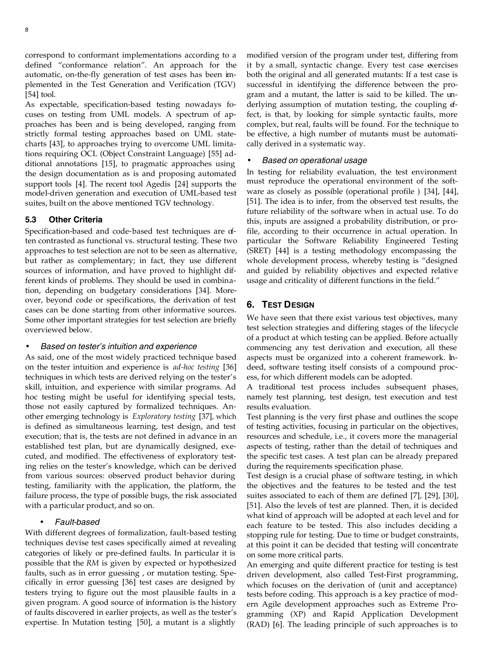correspond to conformant implementations according to a defined "conformance relation". An approach for the automatic, on-the-fly generation of test cases has been implemented in the Test Generation and Verification (TGV) [54] tool.

As expectable, specification-based testing nowadays focuses on testing from UML models. A spectrum of approaches has been and is being developed, ranging from strictly formal testing approaches based on UML statecharts [43], to approaches trying to overcome UML limitations requiring OCL (Object Constraint Language) [55] additional annotations [15], to pragmatic approaches using the design documentation as is and proposing automated support tools [4]. The recent tool Agedis [24] supports the model-driven generation and execution of UML-based test suites, built on the above mentioned TGV technology.

#### **5.3 Other Criteria**

Specification-based and code-based test techniques are dten contrasted as functional vs. structural testing. These two approaches to test selection are not to be seen as alternative, but rather as complementary; in fact, they use different sources of information, and have proved to highlight different kinds of problems. They should be used in combination, depending on budgetary considerations [34]. Moreover, beyond code or specifications, the derivation of test cases can be done starting from other informative sources. Some other important strategies for test selection are briefly overviewed below.

#### • *Based on tester's intuition and experience*

As said, one of the most widely practiced technique based on the tester intuition and experience is *ad-hoc testing* [36] techniques in which tests are derived relying on the tester's skill, intuition, and experience with similar programs. Ad hoc testing might be useful for identifying special tests, those not easily captured by formalized techniques. Another emerging technology is *Exploratory testing* [37], which is defined as simultaneous learning, test design, and test execution; that is, the tests are not defined in advance in an established test plan, but are dynamically designed, executed, and modified. The effectiveness of exploratory testing relies on the tester's knowledge, which can be derived from various sources: observed product behavior during testing, familiarity with the application, the platform, the failure process, the type of possible bugs, the risk associated with a particular product, and so on.

# • *Fault-based*

With different degrees of formalization, fault-based testing techniques devise test cases specifically aimed at revealing categories of likely or pre-defined faults. In particular it is possible that the *RM* is given by expected or hypothesized faults, such as in error guessing , or mutation testing. Specifically in error guessing [36] test cases are designed by testers trying to figure out the most plausible faults in a given program. A good source of information is the history of faults discovered in earlier projects, as well as the tester's expertise. In Mutation testing [50], a mutant is a slightly

modified version of the program under test, differing from it by a small, syntactic change. Every test case exercises both the original and all generated mutants: If a test case is successful in identifying the difference between the program and a mutant, the latter is said to be killed. The underlying assumption of mutation testing, the coupling effect, is that, by looking for simple syntactic faults, more complex, but real, faults will be found. For the technique to be effective, a high number of mutants must be automatically derived in a systematic way.

#### • *Based on operational usage*

In testing for reliability evaluation, the test environment must reproduce the operational environment of the software as closely as possible (operational profile ) [34], [44], [51]. The idea is to infer, from the observed test results, the future reliability of the software when in actual use. To do this, inputs are assigned a probability distribution, or profile, according to their occurrence in actual operation. In particular the Software Reliability Engineered Testing (SRET) [44] is a testing methodology encompassing the whole development process, whereby testing is "designed and guided by reliability objectives and expected relative usage and criticality of different functions in the field."

#### **6. TEST DESIGN**

We have seen that there exist various test objectives, many test selection strategies and differing stages of the lifecycle of a product at which testing can be applied. Before actually commencing any test derivation and execution, all these aspects must be organized into a coherent framework. Indeed, software testing itself consists of a compound process, for which different models can be adopted.

A traditional test process includes subsequent phases, namely test planning, test design, test execution and test results evaluation.

Test planning is the very first phase and outlines the scope of testing activities, focusing in particular on the objectives, resources and schedule, i.e., it covers more the managerial aspects of testing, rather than the detail of techniques and the specific test cases. A test plan can be already prepared during the requirements specification phase.

Test design is a crucial phase of software testing, in which the objectives and the features to be tested and the test suites associated to each of them are defined [7], [29], [30], [51]. Also the levels of test are planned. Then, it is decided what kind of approach will be adopted at each level and for each feature to be tested. This also includes deciding a stopping rule for testing. Due to time or budget constraints, at this point it can be decided that testing will concentrate on some more critical parts.

An emerging and quite different practice for testing is test driven development, also called Test-First programming, which focuses on the derivation of (unit and acceptance) tests before coding. This approach is a key practice of modern Agile development approaches such as Extreme Programming (XP) and Rapid Application Development (RAD) [6]. The leading principle of such approaches is to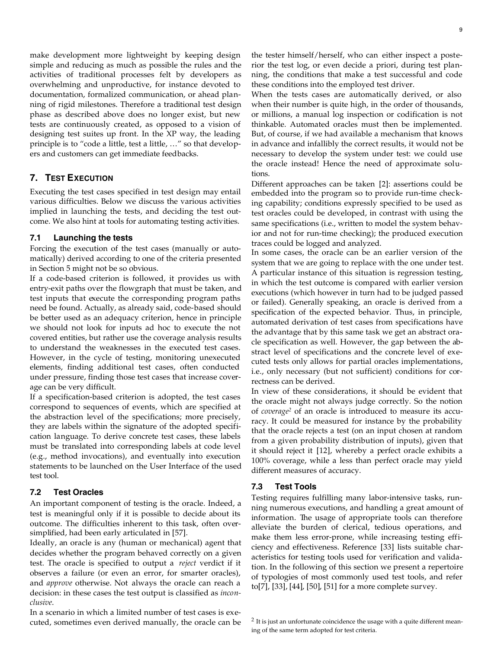make development more lightweight by keeping design simple and reducing as much as possible the rules and the activities of traditional processes felt by developers as overwhelming and unproductive, for instance devoted to documentation, formalized communication, or ahead planning of rigid milestones. Therefore a traditional test design phase as described above does no longer exist, but new tests are continuously created, as opposed to a vision of designing test suites up front. In the XP way, the leading principle is to "code a little, test a little, …" so that developers and customers can get immediate feedbacks.

# **7. TEST EXECUTION**

Executing the test cases specified in test design may entail various difficulties. Below we discuss the various activities implied in launching the tests, and deciding the test outcome. We also hint at tools for automating testing activities.

#### **7.1 Launching the tests**

Forcing the execution of the test cases (manually or automatically) derived according to one of the criteria presented in Section 5 might not be so obvious.

If a code-based criterion is followed, it provides us with entry-exit paths over the flowgraph that must be taken, and test inputs that execute the corresponding program paths need be found. Actually, as already said, code-based should be better used as an adequacy criterion, hence in principle we should not look for inputs ad hoc to execute the not covered entities, but rather use the coverage analysis results to understand the weaknesses in the executed test cases. However, in the cycle of testing, monitoring unexecuted elements, finding additional test cases, often conducted under pressure, finding those test cases that increase coverage can be very difficult.

If a specification-based criterion is adopted, the test cases correspond to sequences of events, which are specified at the abstraction level of the specifications; more precisely, they are labels within the signature of the adopted specification language. To derive concrete test cases, these labels must be translated into corresponding labels at code level (e.g., method invocations), and eventually into execution statements to be launched on the User Interface of the used test tool.

# **7.2 Test Oracles**

An important component of testing is the oracle. Indeed, a test is meaningful only if it is possible to decide about its outcome. The difficulties inherent to this task, often oversimplified, had been early articulated in [57].

Ideally, an oracle is any (human or mechanical) agent that decides whether the program behaved correctly on a given test. The oracle is specified to output a *reject* verdict if it observes a failure (or even an error, for smarter oracles), and *approve* otherwise. Not always the oracle can reach a decision: in these cases the test output is classified as *inconclusive*.

In a scenario in which a limited number of test cases is executed, sometimes even derived manually, the oracle can be the tester himself/herself, who can either inspect a posterior the test log, or even decide a priori, during test planning, the conditions that make a test successful and code these conditions into the employed test driver.

When the tests cases are automatically derived, or also when their number is quite high, in the order of thousands, or millions, a manual log inspection or codification is not thinkable. Automated oracles must then be implemented. But, of course, if we had available a mechanism that knows in advance and infallibly the correct results, it would not be necessary to develop the system under test: we could use the oracle instead! Hence the need of approximate solutions.

Different approaches can be taken [2]: assertions could be embedded into the program so to provide run-time checking capability; conditions expressly specified to be used as test oracles could be developed, in contrast with using the same specifications (i.e., written to model the system behavior and not for run-time checking); the produced execution traces could be logged and analyzed.

In some cases, the oracle can be an earlier version of the system that we are going to replace with the one under test. A particular instance of this situation is regression testing, in which the test outcome is compared with earlier version executions (which however in turn had to be judged passed or failed). Generally speaking, an oracle is derived from a specification of the expected behavior. Thus, in principle, automated derivation of test cases from specifications have the advantage that by this same task we get an abstract oracle specification as well. However, the gap between the abstract level of specifications and the concrete level of executed tests only allows for partial oracles implementations, i.e., only necessary (but not sufficient) conditions for correctness can be derived.

In view of these considerations, it should be evident that the oracle might not always judge correctly. So the notion of *coverage<sup>2</sup>* of an oracle is introduced to measure its accuracy. It could be measured for instance by the probability that the oracle rejects a test (on an input chosen at random from a given probability distribution of inputs), given that it should reject it [12], whereby a perfect oracle exhibits a 100% coverage, while a less than perfect oracle may yield different measures of accuracy.

#### **7.3 Test Tools**

Testing requires fulfilling many labor-intensive tasks, running numerous executions, and handling a great amount of information. The usage of appropriate tools can therefore alleviate the burden of clerical, tedious operations, and make them less error-prone, while increasing testing efficiency and effectiveness. Reference [33] lists suitable characteristics for testing tools used for verification and validation. In the following of this section we present a repertoire of typologies of most commonly used test tools, and refer to[7], [33], [44], [50], [51] for a more complete survey.

 $2$  It is just an unfortunate coincidence the usage with a quite different meaning of the same term adopted for test criteria.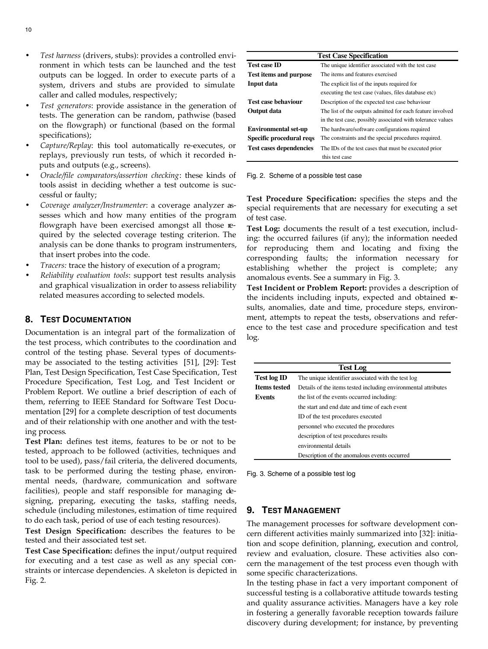- *Test harness* (drivers, stubs): provides a controlled environment in which tests can be launched and the test outputs can be logged. In order to execute parts of a system, drivers and stubs are provided to simulate caller and called modules, respectively;
- *Test generators*: provide assistance in the generation of tests. The generation can be random, pathwise (based on the flowgraph) or functional (based on the formal specifications);
- *Capture/Replay*: this tool automatically re-executes, or replays, previously run tests, of which it recorded inputs and outputs (e.g., screens).
- *Oracle/file comparators/assertion checking*: these kinds of tools assist in deciding whether a test outcome is successful or faulty;
- *Coverage analyzer/Instrumenter*: a coverage analyzer assesses which and how many entities of the program flowgraph have been exercised amongst all those required by the selected coverage testing criterion. The analysis can be done thanks to program instrumenters, that insert probes into the code.
- *Tracers:* trace the history of execution of a program;
- *Reliability evaluation tools*: support test results analysis and graphical visualization in order to assess reliability related measures according to selected models.

# **8. TEST DOCUMENTATION**

Documentation is an integral part of the formalization of the test process, which contributes to the coordination and control of the testing phase. Several types of documentsmay be associated to the testing activities [51], [29]: Test Plan, Test Design Specification, Test Case Specification, Test Procedure Specification, Test Log, and Test Incident or Problem Report. We outline a brief description of each of them, referring to IEEE Standard for Software Test Documentation [29] for a complete description of test documents and of their relationship with one another and with the testing process.

**Test Plan:** defines test items, features to be or not to be tested, approach to be followed (activities, techniques and tool to be used), pass/fail criteria, the delivered documents, task to be performed during the testing phase, environmental needs, (hardware, communication and software facilities), people and staff responsible for managing designing, preparing, executing the tasks, staffing needs, schedule (including milestones, estimation of time required to do each task, period of use of each testing resources).

**Test Design Specification:** describes the features to be tested and their associated test set.

**Test Case Specification:** defines the input/output required for executing and a test case as well as any special constraints or intercase dependencies. A skeleton is depicted in Fig. 2.

| <b>Test Case Specification</b> |                                                             |
|--------------------------------|-------------------------------------------------------------|
| <b>Test case ID</b>            | The unique identifier associated with the test case         |
| <b>Test items and purpose</b>  | The items and features exercised                            |
| Input data                     | The explicit list of the inputs required for                |
|                                | executing the test case (values, files database etc)        |
| <b>Test case behaviour</b>     | Description of the expected test case behaviour             |
| <b>Output</b> data             | The list of the outputs admitted for each feature involved  |
|                                | in the test case, possibly associated with tolerance values |
| <b>Environmental set-up</b>    | The hardware/software configurations required               |
| Specific procedural reqs       | The constraints and the special procedures required.        |
| <b>Test cases dependencies</b> | The IDs of the test cases that must be executed prior       |
|                                | this test case                                              |

#### Fig. 2. Scheme of a possible test case

**Test Procedure Specification:** specifies the steps and the special requirements that are necessary for executing a set of test case.

**Test Log:** documents the result of a test execution, including: the occurred failures (if any); the information needed for reproducing them and locating and fixing the corresponding faults; the information necessary for establishing whether the project is complete; any anomalous events. See a summary in Fig. 3.

**Test Incident or Problem Report:** provides a description of the incidents including inputs, expected and obtained results, anomalies, date and time, procedure steps, environment, attempts to repeat the tests, observations and reference to the test case and procedure specification and test log.

| Test Log            |                                                                |
|---------------------|----------------------------------------------------------------|
| <b>Test log ID</b>  | The unique identifier associated with the test log             |
| <b>Items tested</b> | Details of the items tested including environmental attributes |
| Events              | the list of the events occurred including:                     |
|                     | the start and end date and time of each event                  |
|                     | ID of the test procedures executed                             |
|                     | personnel who executed the procedures                          |
|                     | description of test procedures results                         |
|                     | environmental details                                          |
|                     | Description of the anomalous events occurred                   |

Fig. 3. Scheme of a possible test log

# **9. TEST MANAGEMENT**

The management processes for software development concern different activities mainly summarized into [32]: initiation and scope definition, planning, execution and control, review and evaluation, closure. These activities also concern the management of the test process even though with some specific characterizations.

In the testing phase in fact a very important component of successful testing is a collaborative attitude towards testing and quality assurance activities. Managers have a key role in fostering a generally favorable reception towards failure discovery during development; for instance, by preventing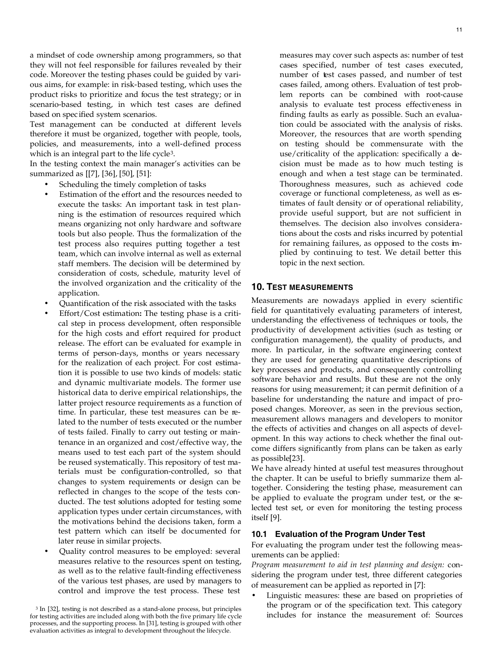11

a mindset of code ownership among programmers, so that they will not feel responsible for failures revealed by their code. Moreover the testing phases could be guided by various aims, for example: in risk-based testing, which uses the product risks to prioritize and focus the test strategy; or in scenario-based testing, in which test cases are defined based on spec ified system scenarios.

Test management can be conducted at different levels therefore it must be organized, together with people, tools, policies, and measurements, into a well-defined process which is an integral part to the life cycle<sup>3</sup>.

In the testing context the main manager's activities can be summarized as [[7], [36], [50], [51]:

- Scheduling the timely completion of tasks
- Estimation of the effort and the resources needed to execute the tasks: An important task in test planning is the estimation of resources required which means organizing not only hardware and software tools but also people. Thus the formalization of the test process also requires putting together a test team, which can involve internal as well as external staff members. The decision will be determined by consideration of costs, schedule, maturity level of the involved organization and the criticality of the application.
- Quantification of the risk associated with the tasks
- Effort/Cost estimation**:** The testing phase is a critical step in process development, often responsible for the high costs and effort required for product release. The effort can be evaluated for example in terms of person-days, months or years necessary for the realization of each project. For cost estimation it is possible to use two kinds of models: static and dynamic multivariate models. The former use historical data to derive empirical relationships, the latter project resource requirements as a function of time. In particular, these test measures can be related to the number of tests executed or the number of tests failed. Finally to carry out testing or maintenance in an organized and cost/effective way, the means used to test each part of the system should be reused systematically. This repository of test materials must be configuration-controlled, so that changes to system requirements or design can be reflected in changes to the scope of the tests conducted. The test solutions adopted for testing some application types under certain circumstances, with the motivations behind the decisions taken, form a test pattern which can itself be documented for later reuse in similar projects.
- Quality control measures to be employed: several measures relative to the resources spent on testing, as well as to the relative fault-finding effectiveness of the various test phases, are used by managers to control and improve the test process. These test

3 In [32], testing is not described as a stand-alone process, but principles for testing activities are included along with both the five primary life cycle processes, and the supporting process. In [31], testing is grouped with other evaluation activities as integral to development throughout the lifecycle.

measures may cover such aspects as: number of test cases specified, number of test cases executed, number of test cases passed, and number of test cases failed, among others. Evaluation of test problem reports can be combined with root-cause analysis to evaluate test process effectiveness in finding faults as early as possible. Such an evaluation could be associated with the analysis of risks. Moreover, the resources that are worth spending on testing should be commensurate with the use/criticality of the application: specifically a decision must be made as to how much testing is enough and when a test stage can be terminated. Thoroughness measures, such as achieved code coverage or functional completeness, as well as estimates of fault density or of operational reliability, provide useful support, but are not sufficient in themselves. The decision also involves considerations about the costs and risks incurred by potential for remaining failures, as opposed to the costs implied by continuing to test. We detail better this topic in the next section.

# **10. TEST MEASUREMENTS**

Measurements are nowadays applied in every scientific field for quantitatively evaluating parameters of interest, understanding the effectiveness of techniques or tools, the productivity of development activities (such as testing or configuration management), the quality of products, and more. In particular, in the software engineering context they are used for generating quantitative descriptions of key processes and products, and consequently controlling software behavior and results. But these are not the only reasons for using measurement; it can permit definition of a baseline for understanding the nature and impact of proposed changes. Moreover, as seen in the previous section, measurement allows managers and developers to monitor the effects of activities and changes on all aspects of development. In this way actions to check whether the final outcome differs significantly from plans can be taken as early as possible[23].

We have already hinted at useful test measures throughout the chapter. It can be useful to briefly summarize them altogether. Considering the testing phase, measurement can be applied to evaluate the program under test, or the selected test set, or even for monitoring the testing process itself [9].

# **10.1 Evaluation of the Program Under Test**

For evaluating the program under test the following measurements can be applied:

*Program measurement to aid in test planning and design:* considering the program under test, three different categories of measurement can be applied as reported in [7]:

Linguistic measures: these are based on proprieties of the program or of the specification text. This category includes for instance the measurement of: Sources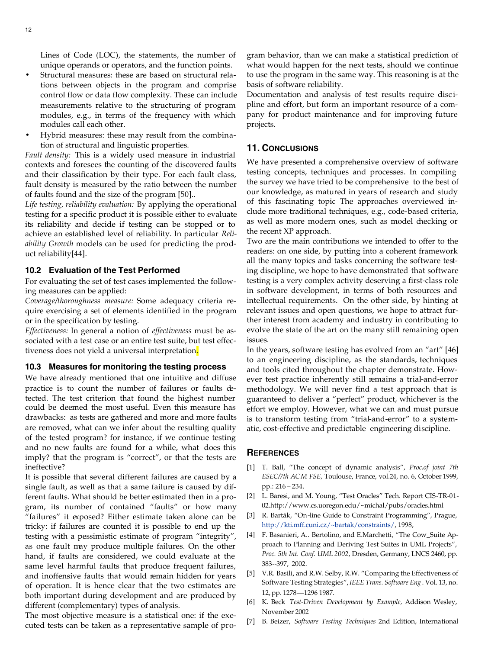Lines of Code (LOC), the statements, the number of unique operands or operators, and the function points.

- Structural measures: these are based on structural relations between objects in the program and comprise control flow or data flow complexity. These can include measurements relative to the structuring of program modules, e.g., in terms of the frequency with which modules call each other.
- Hybrid measures: these may result from the combination of structural and linguistic properties.

*Fault density:* This is a widely used measure in industrial contexts and foresees the counting of the discovered faults and their classification by their type. For each fault class, fault density is measured by the ratio between the number of faults found and the size of the program [50]..

*Life testing, reliability evaluation:* By applying the operational testing for a specific product it is possible either to evaluate its reliability and decide if testing can be stopped or to achieve an established level of reliability. In particular *Reliability Growth* models can be used for predicting the product reliability[44].

## **10.2 Evaluation of the Test Performed**

For evaluating the set of test cases implemented the following measures can be applied:

*Coverage/thoroughness measure:* Some adequacy criteria require exercising a set of elements identified in the program or in the specification by testing.

*Effectiveness:* In general a notion of *effectiveness* must be associated with a test case or an entire test suite, but test effectiveness does not yield a universal interpretation.

# **10.3 Measures for monitoring the testing process**

We have already mentioned that one intuitive and diffuse practice is to count the number of failures or faults detected. The test criterion that found the highest number could be deemed the most useful. Even this measure has drawbacks: as tests are gathered and more and more faults are removed, what can we infer about the resulting quality of the tested program? for instance, if we continue testing and no new faults are found for a while, what does this imply? that the program is "correct", or that the tests are ineffective?

It is possible that several different failures are caused by a single fault, as well as that a same failure is caused by different faults. What should be better estimated then in a program, its number of contained "faults" or how many "failures" it exposed? Either estimate taken alone can be tricky: if failures are counted it is possible to end up the testing with a pessimistic estimate of program "integrity", as one fault may produce multiple failures. On the other hand, if faults are considered, we could evaluate at the same level harmful faults that produce frequent failures, and inoffensive faults that would remain hidden for years of operation. It is hence clear that the two estimates are both important during development and are produced by different (complementary) types of analysis.

The most objective measure is a statistical one: if the executed tests can be taken as a representative sample of program behavior, than we can make a statistical prediction of what would happen for the next tests, should we continue to use the program in the same way. This reasoning is at the basis of software reliability.

Documentation and analysis of test results require disc ipline and effort, but form an important resource of a company for product maintenance and for improving future projects.

#### **11. CONCLUSIONS**

We have presented a comprehensive overview of software testing concepts, techniques and processes. In compiling the survey we have tried to be comprehensive to the best of our knowledge, as matured in years of research and study of this fascinating topic The approaches overviewed include more traditional techniques, e.g., code-based criteria, as well as more modern ones, such as model checking or the recent XP approach.

Two are the main contributions we intended to offer to the readers: on one side, by putting into a coherent framework all the many topics and tasks concerning the software testing discipline, we hope to have demonstrated that software testing is a very complex activity deserving a first-class role in software development, in terms of both resources and intellectual requirements. On the other side, by hinting at relevant issues and open questions, we hope to attract further interest from academy and industry in contributing to evolve the state of the art on the many still remaining open issues.

In the years, software testing has evolved from an "art" [46] to an engineering discipline, as the standards, techniques and tools cited throughout the chapter demonstrate. However test practice inherently still remains a trial-and-error methodology. We will never find a test approach that is guaranteed to deliver a "perfect" product, whichever is the effort we employ. However, what we can and must pursue is to transform testing from "trial-and-error" to a systematic, cost-effective and predictable engineering discipline.

#### **REFERENCES**

- [1] T. Ball, "The concept of dynamic analysis", *Proc.of joint 7th ESEC/7th ACM FSE,* Toulouse, France, vol.24, no. 6, October 1999, pp.: 216 – 234.
- [2] L. Baresi, and M. Young, "Test Oracles" Tech. Report CIS-TR-01- 02.http://www.cs.uoregon.edu/~michal/pubs/oracles.html
- [3] R. Barták, "On-line Guide to Constraint Programming", Prague, http://kti.mff.cuni.cz/~bartak/constraints/, 1998,
- [4] F. Basanieri, A.. Bertolino, and E.Marchetti, "The Cow\_Suite Approach to Planning and Deriving Test Suites in UML Projects", *Proc. 5th Int. Conf. UML 2002*, Dresden, Germany, LNCS 2460, pp. 383--397, 2002.
- [5] V.R. Basili, and R.W. Selby, R.W. "Comparing the Effectiveness of Software Testing Strategies", *IEEE Trans. Software Eng* . Vol. 13, no. 12, pp. 1278—1296 1987.
- [6] K. Beck *Test-Driven Development by Example,* Addison Wesley, November 2002
- [7] B. Beizer, *Software Testing Techniques* 2nd Edition, International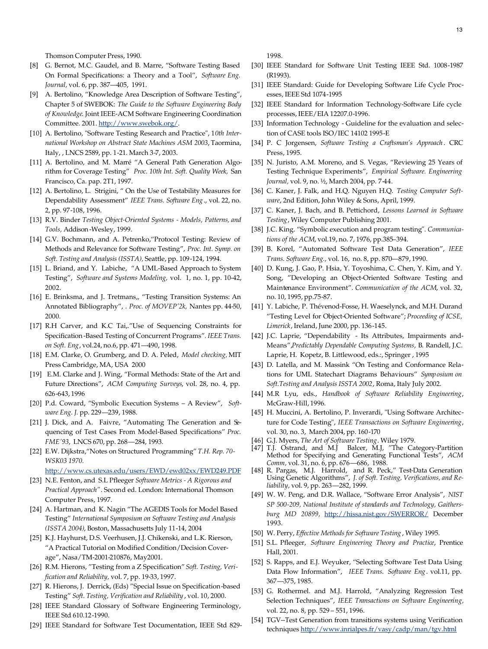Thomson Computer Press, 1990.

- [8] G. Bernot, M.C. Gaudel, and B. Marre, "Software Testing Based On Formal Specifications: a Theory and a Tool", *Software Eng. Journal,* vol. 6, pp. 387—405, 1991.
- [9] A. Bertolino, "Knowledge Area Description of Software Testing", Chapter 5 of SWEBOK: *The Guide to the Software Engineering Body of Knowledge*. Joint IEEE-ACM Software Engineering Coordination Committee. 2001. http://www.swebok.org/.
- [10] A. Bertolino, "Software Testing Research and Practice", 1*0th International Workshop on Abstract State Machines ASM 2003*, Taormina, Italy, , LNCS 2589, pp. 1-21. March 3-7, 2003.
- [11] A. Bertolino, and M. Marré "A General Path Generation Algorithm for Coverage Testing" *Proc. 10th Int. Soft. Quality Week,* San Francisco, Ca. pap. 2T1, 1997.
- [12] A. Bertolino, L. Strigini, " On the Use of Testability Measures for Dependability Assessment" *IEEE Trans. Software Eng* ., vol. 22, no. 2, pp. 97-108, 1996.
- [13] R.V. Binder *Testing Object-Oriented Systems Models, Patterns, and Tools,* Addison-Wesley, 1999.
- [14] G.V. Bochmann, and A. Petrenko,"Protocol Testing: Review of Methods and Relevance for Software Testing", *Proc. Int. Symp. on Soft. Testing and Analysis (ISSTA),* Seattle, pp. 109-124, 1994.
- [15] L. Briand, and Y. Labiche, "A UML-Based Approach to System Testing", *Software and Systems Modeling,* vol. 1, no. 1, pp. 10-42, 2002.
- [16] E. Brinksma, and J. Tretmans,, "Testing Transition Systems: An Annotated Bibliography", *. Proc. of MOVEP'2k,* Nantes pp. 44-50, 2000.
- [17] R.H Carver, and K.C Tai,."Use of Sequencing Constraints for Specification-Based Testing of Concurrent Programs"*. IEEE Trans. on Soft. Eng*, vol.24, no.6, pp. 471—490, 1998.
- [18] E.M. Clarke, O. Grumberg, and D. A. Peled, *Model checking,* MIT Press Cambridge, MA, USA 2000
- [19] E.M. Clarke and J. Wing, "Formal Methods: State of the Art and Future Directions", *ACM Computing Surveys*, vol. 28, no. 4, pp. 626-643, 1996
- [20] P.d. Coward, "Symbolic Execution Systems A Review", *Software Eng. J.* pp. 229—239, 1988.
- [21] J. Dick, and A. Faivre, "Automating The Generation and Sequencing of Test Cases From Model-Based Specifications" *Proc. FME'93*, LNCS 670, pp. 268—284, 1993.
- [22] E.W. Dijkstra,"Notes on Structured Programming" *T.H. Rep. 70- WSK03 1970.*
	- http://www.cs.utexas.edu/users/EWD/ewd02xx/EWD249.PDF
- [23] N.E. Fenton, and S.L Pfleeger *Software Metrics A Rigorous and Practical Approach"*. Second ed. London: International Thomson Computer Press, 1997.
- [24] A. Hartman, and K. Nagin "The AGEDIS Tools for Model Based Testing" *International Symposium on Software Testing and Analysis (ISSTA 2004)*, Boston, Massachusetts July 11-14, 2004
- [25] K.J. Hayhurst, D.S. Veerhusen, J.J. Chikenski, and L.K. Rierson, "A Practical Tutorial on Modified Condition/Decision Coverage", Nasa/TM-2001-210876, May2001.
- [26] R.M. Hierons, "Testing from a Z Specification" *Soft. Testing, Verification and Reliability,* vol. 7, pp. 19-33, 1997.
- [27] R. Hierons, J. Derrick, (Eds) "Special Issue on Specification-based Testing" *Soft. Testing, Verification and Reliability* , vol. 10, 2000.
- [28] IEEE Standard Glossary of Software Engineering Terminology, IEEE Std 610.12-1990.
- [29] IEEE Standard for Software Test Documentation, IEEE Std 829-

1998.

- [30] IEEE Standard for Software Unit Testing IEEE Std. 1008-1987 (R1993).
- [31] IEEE Standard: Guide for Developing Software Life Cycle Processes, IEEE Std 1074-1995
- [32] IEEE Standard for Information Technology-Software Life cycle processes, IEEE/EIA 12207.0-1996.
- [33] Information Technology Guideline for the evaluation and selection of CASE tools ISO/IEC 14102 1995-E
- [34] P. C Jorgensen, *Software Testing a Craftsman's Approach* . CRC Press, 1995.
- [35] N. Juristo, A.M. Moreno, and S. Vegas, "Reviewing 25 Years of Testing Technique Experiments", *Empirical Software. Engineering Journal,* vol. 9, no. ½, March 2004, pp. 7-44.
- [36] C. Kaner, J. Falk, and H.Q. Nguyen H.Q. *Testing Computer Software*, 2nd Edition, John Wiley & Sons, April, 1999.
- [37] C. Kaner, J. Bach, and B. Pettichord, *Lessons Learned in Software Testing*, Wiley Computer Publishing 2001.
- [38] J.C. King. "Symbolic execution and program testing*". Communications of the ACM*, vol.19, no. 7, 1976, pp.385–394.
- [39] B. Korel, "Automated Software Test Data Generation", *IEEE Trans. Software Eng.,* vol. 16, no. 8, pp. 870—879, 1990.
- [40] D. Kung, J. Gao, P. Hsia, Y. Toyoshima, C. Chen, Y. Kim, and Y. Song, "Developing an Object-Oriented Software Testing and Maintenance Environment". *Communication of the ACM*, vol. 32, no. 10, 1995, pp.75-87.
- [41] Y. Labiche, P. Thévenod-Fosse, H. Waeselynck, and M.H. Durand "Testing Level for Object-Oriented Software"; *Proceeding of ICSE, Limerick*, Ireland, June 2000, pp. 136-145.
- [42] J.C. Laprie, "Dependability Its Attributes, Impairments and-Means",*Predictably Dependable Computing Systems*, B*.* Randell, J.C. Laprie, H. Kopetz, B. Littlewood, eds.:, Springer , 1995
- [43] D. Latella, and M. Massink "On Testing and Conformance Relations for UML Statechart Diagrams Behaviours" *Symposium on Soft.Testing and Analysis ISSTA 2002*, Roma, Italy July 2002.
- [44] M.R Lyu, eds., *Handbook of Software Reliability Engineering*, McGraw-Hill, 1996.
- [45] H. Muccini, A. Bertolino, P. Inverardi, "Using Software Architecture for Code Testing", *IEEE Transactions on Software Engineering*, vol. 30, no. 3, March 2004, pp. 160-170
- [46] G.J. Myers, *The Art of Software Testing*. Wiley 1979.
- [47] T.J. Ostrand, and M.J Balcer, M.J, "The Category-Partition Method for Specifying and Generating Functional Tests", *ACM Comm,* vol. 31, no. 6, pp. 676—686, 1988.
- [48] R. Pargas, M.J. Harrold, and R. Peck," Test-Data Generation Using Genetic Algorithms", *J. of Soft. Testing, Verifications, and Reliability,* vol. 9, pp. 263—282, 1999.
- [49] W. W. Peng, and D.R. Wallace, "Software Error Analysis", *NIST SP 500-209, National Institute of standards and Technology, Gaithersburg MD 20899,* http://hissa.nist.gov/SWERROR/ December 1993.
- [50] W. Perry, *Effective Methods for Software Testing* , Wiley 1995.
- [51] S.L. Pfleeger, *Software Engineering Theory and Practice*, Prentice Hall, 2001.
- [52] S. Rapps, and E.J. Weyuker, "Selecting Software Test Data Using Data Flow Information", *IEEE Trans. Software Eng* . vol.11, pp. 367—375, 1985.
- [53] G. Rothermel. and M.J. Harrold, "Analyzing Regression Test Selection Techniques", *IEEE Transactions on Software Engineering,* vol. 22, no. 8, pp. 529 – 551, 1996.
- [54] TGV--Test Generation from transitions systems using Verification techniques http://www.inrialpes.fr/vasy/cadp/man/tgv.html